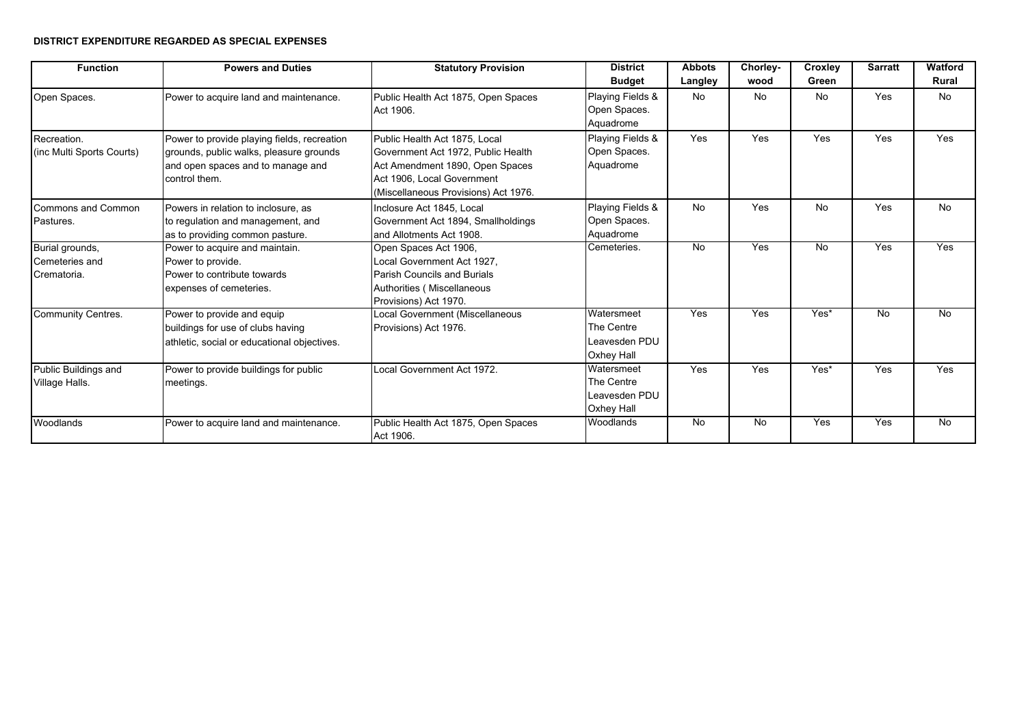## **DISTRICT EXPENDITURE REGARDED AS SPECIAL EXPENSES**

| <b>Function</b>                                  | <b>Powers and Duties</b>                                                                                                                     | <b>Statutory Provision</b>                                                                                                                                                   | <b>District</b><br><b>Budget</b>                        | <b>Abbots</b><br>Langley | Chorley-<br>wood | Croxley<br>Green | <b>Sarratt</b> | <b>Watford</b><br><b>Rural</b> |
|--------------------------------------------------|----------------------------------------------------------------------------------------------------------------------------------------------|------------------------------------------------------------------------------------------------------------------------------------------------------------------------------|---------------------------------------------------------|--------------------------|------------------|------------------|----------------|--------------------------------|
| Open Spaces.                                     | Power to acquire land and maintenance.                                                                                                       | Public Health Act 1875, Open Spaces<br>Act 1906.                                                                                                                             | Playing Fields &<br>Open Spaces.<br>Aquadrome           | No                       | <b>No</b>        | No               | Yes            | <b>No</b>                      |
| Recreation.<br>(inc Multi Sports Courts)         | Power to provide playing fields, recreation<br>grounds, public walks, pleasure grounds<br>and open spaces and to manage and<br>control them. | Public Health Act 1875, Local<br>Government Act 1972, Public Health<br>Act Amendment 1890, Open Spaces<br>Act 1906, Local Government<br>(Miscellaneous Provisions) Act 1976. | Playing Fields &<br>Open Spaces.<br>Aquadrome           | Yes                      | Yes              | Yes              | Yes            | Yes                            |
| Commons and Common<br>Pastures.                  | Powers in relation to inclosure, as<br>to regulation and management, and<br>as to providing common pasture.                                  | Inclosure Act 1845, Local<br>Government Act 1894, Smallholdings<br>and Allotments Act 1908.                                                                                  | Playing Fields &<br>Open Spaces.<br>Aquadrome           | No.                      | Yes              | No               | Yes            | <b>No</b>                      |
| Burial grounds,<br>Cemeteries and<br>Crematoria. | Power to acquire and maintain.<br>Power to provide.<br>Power to contribute towards<br>expenses of cemeteries.                                | Open Spaces Act 1906.<br>Local Government Act 1927.<br><b>Parish Councils and Burials</b><br>Authorities (Miscellaneous<br>Provisions) Act 1970.                             | Cemeteries.                                             | No.                      | Yes              | $\overline{N}$   | Yes            | Yes                            |
| Community Centres.                               | Power to provide and equip<br>buildings for use of clubs having<br>athletic, social or educational objectives.                               | Local Government (Miscellaneous<br>Provisions) Act 1976.                                                                                                                     | Watersmeet<br>The Centre<br>Leavesden PDU<br>Oxhey Hall | Yes                      | Yes              | Yes*             | No             | No                             |
| Public Buildings and<br>Village Halls.           | Power to provide buildings for public<br>meetings.                                                                                           | Local Government Act 1972.                                                                                                                                                   | Watersmeet<br>The Centre<br>Leavesden PDU<br>Oxhey Hall | Yes                      | Yes              | Yes*             | Yes            | Yes                            |
| Woodlands                                        | Power to acquire land and maintenance.                                                                                                       | Public Health Act 1875, Open Spaces<br>Act 1906.                                                                                                                             | Woodlands                                               | <b>No</b>                | <b>No</b>        | Yes              | Yes            | No.                            |